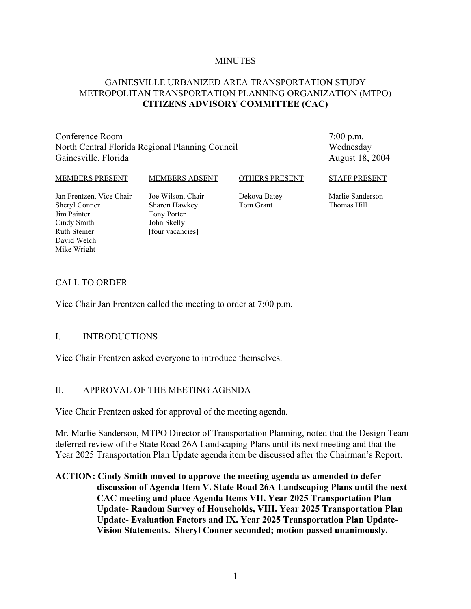#### **MINUTES**

## GAINESVILLE URBANIZED AREA TRANSPORTATION STUDY METROPOLITAN TRANSPORTATION PLANNING ORGANIZATION (MTPO) **CITIZENS ADVISORY COMMITTEE (CAC)**

Conference Room North Central Florida Regional Planning Council Gainesville, Florida

7:00 p.m. Wednesday August 18, 2004

#### MEMBERS PRESENT

MEMBERS ABSENT

OTHERS PRESENT

STAFF PRESENT

Jan Frentzen, Vice Chair Sheryl Conner Jim Painter Cindy Smith Ruth Steiner David Welch Mike Wright

Joe Wilson, Chair Sharon Hawkey Tony Porter John Skelly [four vacancies]

Dekova Batey Tom Grant

Marlie Sanderson Thomas Hill

#### CALL TO ORDER

Vice Chair Jan Frentzen called the meeting to order at 7:00 p.m.

#### I. INTRODUCTIONS

Vice Chair Frentzen asked everyone to introduce themselves.

#### II. APPROVAL OF THE MEETING AGENDA

Vice Chair Frentzen asked for approval of the meeting agenda.

Mr. Marlie Sanderson, MTPO Director of Transportation Planning, noted that the Design Team deferred review of the State Road 26A Landscaping Plans until its next meeting and that the Year 2025 Transportation Plan Update agenda item be discussed after the Chairman's Report.

**ACTION: Cindy Smith moved to approve the meeting agenda as amended to defer discussion of Agenda Item V. State Road 26A Landscaping Plans until the next CAC meeting and place Agenda Items VII. Year 2025 Transportation Plan Update- Random Survey of Households, VIII. Year 2025 Transportation Plan Update- Evaluation Factors and IX. Year 2025 Transportation Plan Update-Vision Statements. Sheryl Conner seconded; motion passed unanimously.**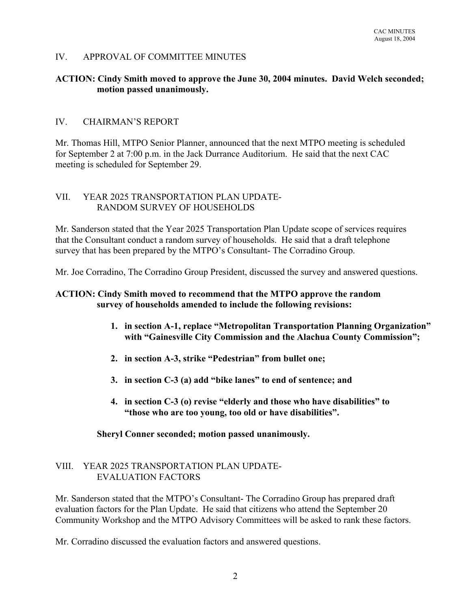## IV. APPROVAL OF COMMITTEE MINUTES

#### **ACTION: Cindy Smith moved to approve the June 30, 2004 minutes. David Welch seconded; motion passed unanimously.**

## IV. CHAIRMAN'S REPORT

Mr. Thomas Hill, MTPO Senior Planner, announced that the next MTPO meeting is scheduled for September 2 at 7:00 p.m. in the Jack Durrance Auditorium. He said that the next CAC meeting is scheduled for September 29.

#### VII. YEAR 2025 TRANSPORTATION PLAN UPDATE-RANDOM SURVEY OF HOUSEHOLDS

Mr. Sanderson stated that the Year 2025 Transportation Plan Update scope of services requires that the Consultant conduct a random survey of households. He said that a draft telephone survey that has been prepared by the MTPO's Consultant- The Corradino Group.

Mr. Joe Corradino, The Corradino Group President, discussed the survey and answered questions.

#### **ACTION: Cindy Smith moved to recommend that the MTPO approve the random survey of households amended to include the following revisions:**

- **1. in section A-1, replace "Metropolitan Transportation Planning Organization" with "Gainesville City Commission and the Alachua County Commission";**
- **2. in section A-3, strike "Pedestrian" from bullet one;**
- **3. in section C-3 (a) add "bike lanes" to end of sentence; and**
- **4. in section C-3 (o) revise "elderly and those who have disabilities" to "those who are too young, too old or have disabilities".**

#### **Sheryl Conner seconded; motion passed unanimously.**

#### VIII. YEAR 2025 TRANSPORTATION PLAN UPDATE-EVALUATION FACTORS

Mr. Sanderson stated that the MTPO's Consultant- The Corradino Group has prepared draft evaluation factors for the Plan Update. He said that citizens who attend the September 20 Community Workshop and the MTPO Advisory Committees will be asked to rank these factors.

Mr. Corradino discussed the evaluation factors and answered questions.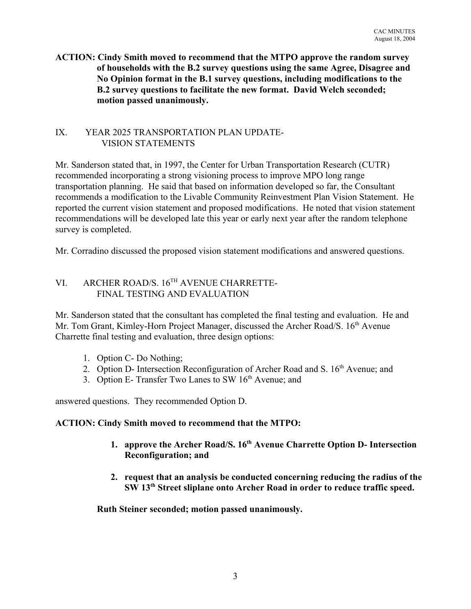## **ACTION: Cindy Smith moved to recommend that the MTPO approve the random survey of households with the B.2 survey questions using the same Agree, Disagree and No Opinion format in the B.1 survey questions, including modifications to the B.2 survey questions to facilitate the new format. David Welch seconded; motion passed unanimously.**

## IX. YEAR 2025 TRANSPORTATION PLAN UPDATE- VISION STATEMENTS

Mr. Sanderson stated that, in 1997, the Center for Urban Transportation Research (CUTR) recommended incorporating a strong visioning process to improve MPO long range transportation planning. He said that based on information developed so far, the Consultant recommends a modification to the Livable Community Reinvestment Plan Vision Statement. He reported the current vision statement and proposed modifications. He noted that vision statement recommendations will be developed late this year or early next year after the random telephone survey is completed.

Mr. Corradino discussed the proposed vision statement modifications and answered questions.

# VI. ARCHER ROAD/S. 16TH AVENUE CHARRETTE-FINAL TESTING AND EVALUATION

Mr. Sanderson stated that the consultant has completed the final testing and evaluation. He and Mr. Tom Grant, Kimley-Horn Project Manager, discussed the Archer Road/S, 16<sup>th</sup> Avenue Charrette final testing and evaluation, three design options:

- 1. Option C- Do Nothing;
- 2. Option D- Intersection Reconfiguration of Archer Road and S.  $16<sup>th</sup>$  Avenue; and
- 3. Option E- Transfer Two Lanes to SW 16<sup>th</sup> Avenue; and

answered questions. They recommended Option D.

## **ACTION: Cindy Smith moved to recommend that the MTPO:**

- **1. approve the Archer Road/S. 16th Avenue Charrette Option D- Intersection Reconfiguration; and**
- **2. request that an analysis be conducted concerning reducing the radius of the SW 13th Street sliplane onto Archer Road in order to reduce traffic speed.**

**Ruth Steiner seconded; motion passed unanimously.**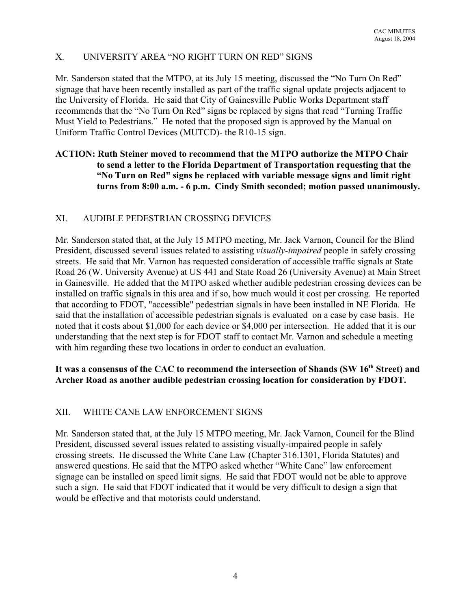# X. UNIVERSITY AREA "NO RIGHT TURN ON RED" SIGNS

Mr. Sanderson stated that the MTPO, at its July 15 meeting, discussed the "No Turn On Red" signage that have been recently installed as part of the traffic signal update projects adjacent to the University of Florida. He said that City of Gainesville Public Works Department staff recommends that the "No Turn On Red" signs be replaced by signs that read "Turning Traffic Must Yield to Pedestrians." He noted that the proposed sign is approved by the Manual on Uniform Traffic Control Devices (MUTCD)- the R10-15 sign.

## **ACTION: Ruth Steiner moved to recommend that the MTPO authorize the MTPO Chair to send a letter to the Florida Department of Transportation requesting that the "No Turn on Red" signs be replaced with variable message signs and limit right turns from 8:00 a.m. - 6 p.m. Cindy Smith seconded; motion passed unanimously.**

## XI. AUDIBLE PEDESTRIAN CROSSING DEVICES

Mr. Sanderson stated that, at the July 15 MTPO meeting, Mr. Jack Varnon, Council for the Blind President, discussed several issues related to assisting *visually-impaired* people in safely crossing streets. He said that Mr. Varnon has requested consideration of accessible traffic signals at State Road 26 (W. University Avenue) at US 441 and State Road 26 (University Avenue) at Main Street in Gainesville. He added that the MTPO asked whether audible pedestrian crossing devices can be installed on traffic signals in this area and if so, how much would it cost per crossing. He reported that according to FDOT, "accessible" pedestrian signals in have been installed in NE Florida. He said that the installation of accessible pedestrian signals is evaluated on a case by case basis. He noted that it costs about \$1,000 for each device or \$4,000 per intersection. He added that it is our understanding that the next step is for FDOT staff to contact Mr. Varnon and schedule a meeting with him regarding these two locations in order to conduct an evaluation.

## It was a consensus of the CAC to recommend the intersection of Shands (SW 16<sup>th</sup> Street) and **Archer Road as another audible pedestrian crossing location for consideration by FDOT.**

## XII. WHITE CANE LAW ENFORCEMENT SIGNS

Mr. Sanderson stated that, at the July 15 MTPO meeting, Mr. Jack Varnon, Council for the Blind President, discussed several issues related to assisting visually-impaired people in safely crossing streets. He discussed the White Cane Law (Chapter 316.1301, Florida Statutes) and answered questions. He said that the MTPO asked whether "White Cane" law enforcement signage can be installed on speed limit signs. He said that FDOT would not be able to approve such a sign. He said that FDOT indicated that it would be very difficult to design a sign that would be effective and that motorists could understand.